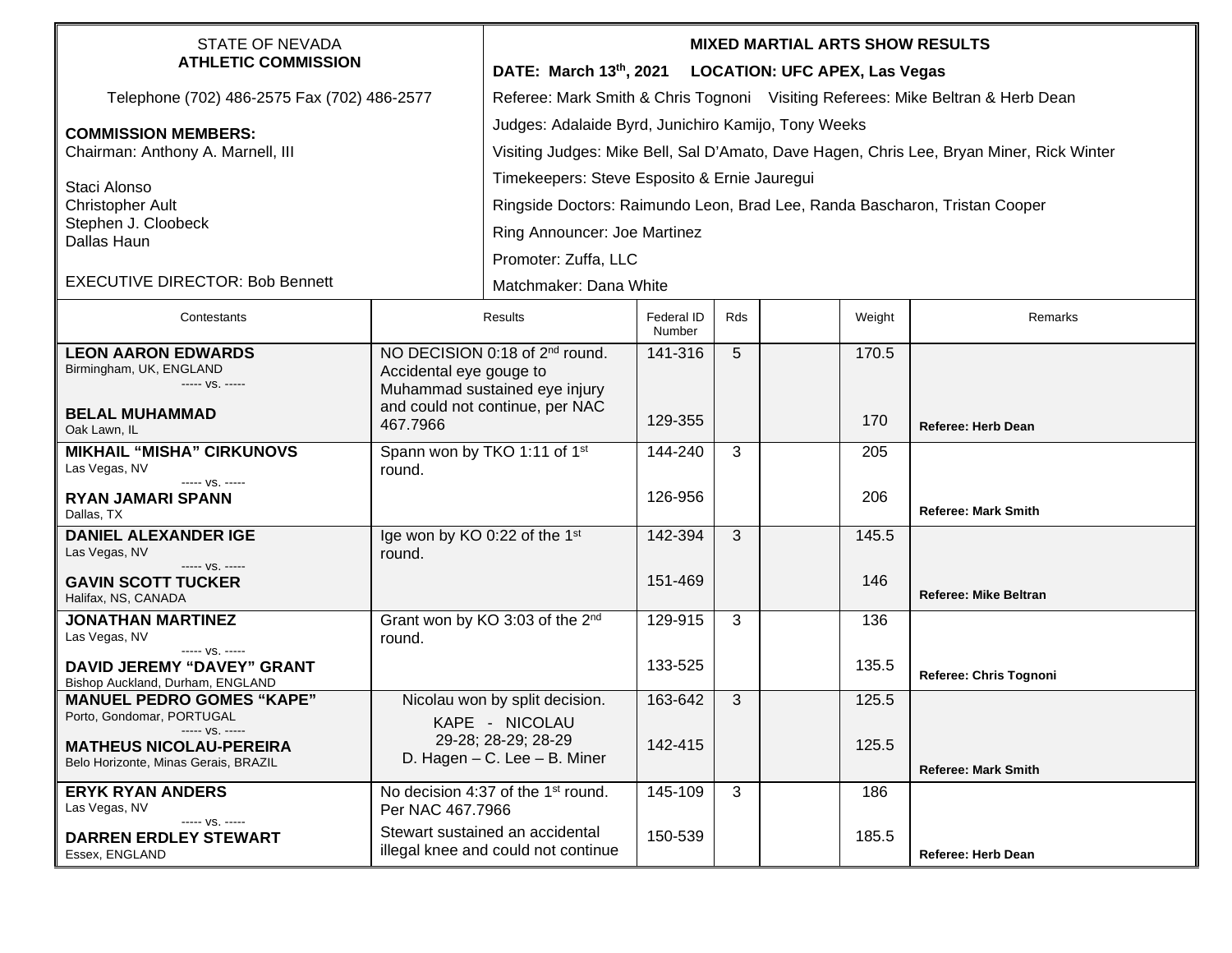| STATE OF NEVADA<br><b>ATHLETIC COMMISSION</b>                                 |                                                                                                         | <b>MIXED MARTIAL ARTS SHOW RESULTS</b>                                                   |                      |              |  |        |                              |  |  |
|-------------------------------------------------------------------------------|---------------------------------------------------------------------------------------------------------|------------------------------------------------------------------------------------------|----------------------|--------------|--|--------|------------------------------|--|--|
|                                                                               |                                                                                                         | DATE: March 13th, 2021 LOCATION: UFC APEX, Las Vegas                                     |                      |              |  |        |                              |  |  |
| Telephone (702) 486-2575 Fax (702) 486-2577                                   |                                                                                                         | Referee: Mark Smith & Chris Tognoni Visiting Referees: Mike Beltran & Herb Dean          |                      |              |  |        |                              |  |  |
| <b>COMMISSION MEMBERS:</b><br>Chairman: Anthony A. Marnell, III               |                                                                                                         | Judges: Adalaide Byrd, Junichiro Kamijo, Tony Weeks                                      |                      |              |  |        |                              |  |  |
|                                                                               |                                                                                                         | Visiting Judges: Mike Bell, Sal D'Amato, Dave Hagen, Chris Lee, Bryan Miner, Rick Winter |                      |              |  |        |                              |  |  |
| Staci Alonso<br><b>Christopher Ault</b><br>Stephen J. Cloobeck<br>Dallas Haun |                                                                                                         | Timekeepers: Steve Esposito & Ernie Jauregui                                             |                      |              |  |        |                              |  |  |
|                                                                               |                                                                                                         | Ringside Doctors: Raimundo Leon, Brad Lee, Randa Bascharon, Tristan Cooper               |                      |              |  |        |                              |  |  |
|                                                                               |                                                                                                         | Ring Announcer: Joe Martinez                                                             |                      |              |  |        |                              |  |  |
|                                                                               |                                                                                                         | Promoter: Zuffa, LLC                                                                     |                      |              |  |        |                              |  |  |
| <b>EXECUTIVE DIRECTOR: Bob Bennett</b>                                        |                                                                                                         | Matchmaker: Dana White                                                                   |                      |              |  |        |                              |  |  |
| Contestants                                                                   | Results                                                                                                 |                                                                                          | Federal ID<br>Number | Rds          |  | Weight | Remarks                      |  |  |
| <b>LEON AARON EDWARDS</b>                                                     |                                                                                                         | NO DECISION 0:18 of 2 <sup>nd</sup> round.                                               | 141-316              | 5            |  | 170.5  |                              |  |  |
| Birmingham, UK, ENGLAND<br>----- VS. -----                                    | Accidental eye gouge to<br>Muhammad sustained eye injury<br>and could not continue, per NAC<br>467.7966 |                                                                                          |                      |              |  |        |                              |  |  |
| <b>BELAL MUHAMMAD</b><br>Oak Lawn, IL                                         |                                                                                                         |                                                                                          | 129-355              |              |  | 170    | <b>Referee: Herb Dean</b>    |  |  |
| <b>MIKHAIL "MISHA" CIRKUNOVS</b><br>Las Vegas, NV                             | Spann won by TKO 1:11 of 1st<br>round.                                                                  |                                                                                          | 144-240              | 3            |  | 205    |                              |  |  |
| $--- VS. ---$<br><b>RYAN JAMARI SPANN</b><br>Dallas, TX                       |                                                                                                         |                                                                                          | 126-956              |              |  | 206    | <b>Referee: Mark Smith</b>   |  |  |
| <b>DANIEL ALEXANDER IGE</b><br>Las Vegas, NV                                  | Ige won by KO 0:22 of the 1st<br>round.                                                                 |                                                                                          | 142-394              | 3            |  | 145.5  |                              |  |  |
| ----- VS. -----<br><b>GAVIN SCOTT TUCKER</b><br>Halifax, NS, CANADA           |                                                                                                         |                                                                                          | 151-469              |              |  | 146    | <b>Referee: Mike Beltran</b> |  |  |
| <b>JONATHAN MARTINEZ</b>                                                      | Grant won by KO 3:03 of the 2nd                                                                         |                                                                                          | 129-915              | 3            |  | 136    |                              |  |  |
| Las Vegas, NV<br>----- VS. -----                                              | round.                                                                                                  |                                                                                          |                      |              |  |        |                              |  |  |
| <b>DAVID JEREMY "DAVEY" GRANT</b><br>Bishop Auckland, Durham, ENGLAND         |                                                                                                         |                                                                                          | 133-525              |              |  | 135.5  | Referee: Chris Tognoni       |  |  |
| <b>MANUEL PEDRO GOMES "KAPE"</b>                                              | Nicolau won by split decision.                                                                          |                                                                                          | 163-642              | 3            |  | 125.5  |                              |  |  |
| Porto, Gondomar, PORTUGAL<br>----- VS. -----                                  | KAPE - NICOLAU                                                                                          |                                                                                          |                      |              |  |        |                              |  |  |
| <b>MATHEUS NICOLAU-PEREIRA</b><br>Belo Horizonte, Minas Gerais, BRAZIL        | 29-28; 28-29; 28-29<br>D. Hagen - C. Lee - B. Miner                                                     |                                                                                          | 142-415              |              |  | 125.5  |                              |  |  |
| <b>ERYK RYAN ANDERS</b>                                                       |                                                                                                         |                                                                                          | 145-109              | $\mathbf{3}$ |  | 186    | <b>Referee: Mark Smith</b>   |  |  |
| Las Vegas, NV                                                                 | No decision 4:37 of the 1 <sup>st</sup> round.<br>Per NAC 467.7966                                      |                                                                                          |                      |              |  |        |                              |  |  |
| ----- VS. -----<br><b>DARREN ERDLEY STEWART</b>                               |                                                                                                         | Stewart sustained an accidental                                                          | 150-539              |              |  | 185.5  |                              |  |  |
| Essex, ENGLAND                                                                |                                                                                                         | illegal knee and could not continue                                                      |                      |              |  |        | <b>Referee: Herb Dean</b>    |  |  |